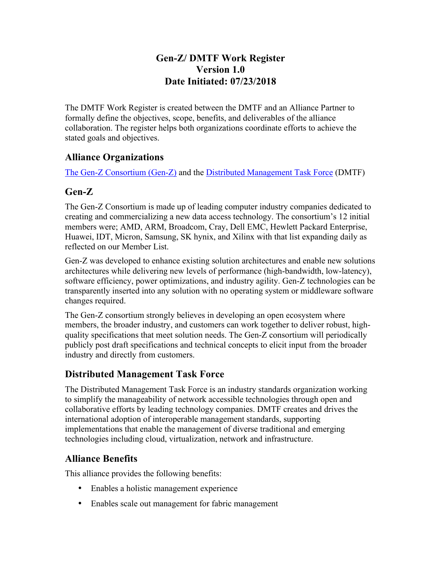### **Gen-Z/ DMTF Work Register Version 1.0 Date Initiated: 07/23/2018**

The DMTF Work Register is created between the DMTF and an Alliance Partner to formally define the objectives, scope, benefits, and deliverables of the alliance collaboration. The register helps both organizations coordinate efforts to achieve the stated goals and objectives.

### **Alliance Organizations**

The Gen-Z Consortium (Gen-Z) and the Distributed Management Task Force (DMTF)

## **Gen-Z**

The Gen-Z Consortium is made up of leading computer industry companies dedicated to creating and commercializing a new data access technology. The consortium's 12 initial members were; AMD, ARM, Broadcom, Cray, Dell EMC, Hewlett Packard Enterprise, Huawei, IDT, Micron, Samsung, SK hynix, and Xilinx with that list expanding daily as reflected on our Member List.

Gen-Z was developed to enhance existing solution architectures and enable new solutions architectures while delivering new levels of performance (high-bandwidth, low-latency), software efficiency, power optimizations, and industry agility. Gen-Z technologies can be transparently inserted into any solution with no operating system or middleware software changes required.

The Gen-Z consortium strongly believes in developing an open ecosystem where members, the broader industry, and customers can work together to deliver robust, highquality specifications that meet solution needs. The Gen-Z consortium will periodically publicly post draft specifications and technical concepts to elicit input from the broader industry and directly from customers.

## **Distributed Management Task Force**

The Distributed Management Task Force is an industry standards organization working to simplify the manageability of network accessible technologies through open and collaborative efforts by leading technology companies. DMTF creates and drives the international adoption of interoperable management standards, supporting implementations that enable the management of diverse traditional and emerging technologies including cloud, virtualization, network and infrastructure.

## **Alliance Benefits**

This alliance provides the following benefits:

- Enables a holistic management experience
- Enables scale out management for fabric management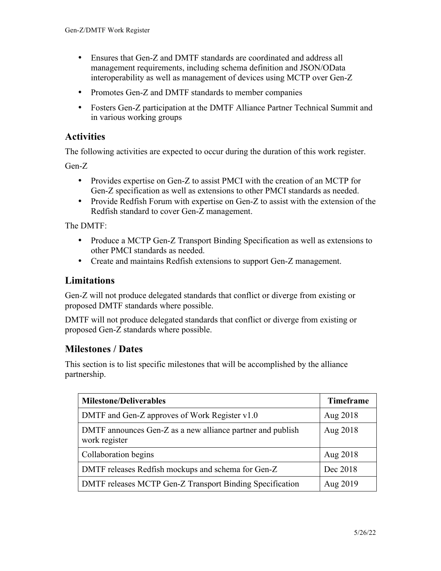- Ensures that Gen-Z and DMTF standards are coordinated and address all management requirements, including schema definition and JSON/OData interoperability as well as management of devices using MCTP over Gen-Z
- Promotes Gen-Z and DMTF standards to member companies
- Fosters Gen-Z participation at the DMTF Alliance Partner Technical Summit and in various working groups

#### **Activities**

The following activities are expected to occur during the duration of this work register.

Gen-Z

- Provides expertise on Gen-Z to assist PMCI with the creation of an MCTP for Gen-Z specification as well as extensions to other PMCI standards as needed.
- Provide Redfish Forum with expertise on Gen-Z to assist with the extension of the Redfish standard to cover Gen-Z management.

The DMTF:

- Produce a MCTP Gen-Z Transport Binding Specification as well as extensions to other PMCI standards as needed.
- Create and maintains Redfish extensions to support Gen-Z management.

#### **Limitations**

Gen-Z will not produce delegated standards that conflict or diverge from existing or proposed DMTF standards where possible.

DMTF will not produce delegated standards that conflict or diverge from existing or proposed Gen-Z standards where possible.

### **Milestones / Dates**

This section is to list specific milestones that will be accomplished by the alliance partnership.

| <b>Milestone/Deliverables</b>                                               | <b>Timeframe</b> |
|-----------------------------------------------------------------------------|------------------|
| DMTF and Gen-Z approves of Work Register v1.0                               | Aug 2018         |
| DMTF announces Gen-Z as a new alliance partner and publish<br>work register | Aug 2018         |
| Collaboration begins                                                        | Aug 2018         |
| DMTF releases Redfish mockups and schema for Gen-Z                          | Dec 2018         |
| DMTF releases MCTP Gen-Z Transport Binding Specification                    | Aug 2019         |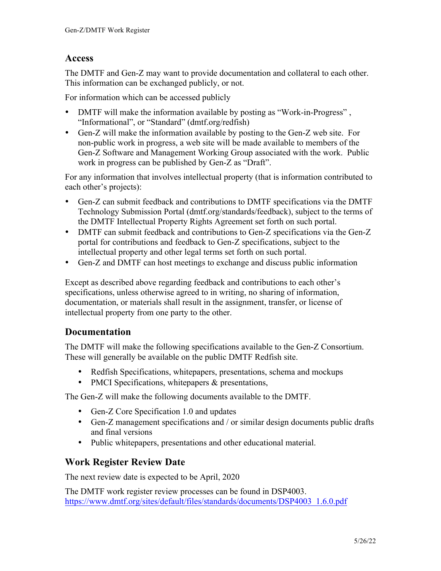### **Access**

The DMTF and Gen-Z may want to provide documentation and collateral to each other. This information can be exchanged publicly, or not.

For information which can be accessed publicly

- DMTF will make the information available by posting as "Work-in-Progress", "Informational", or "Standard" (dmtf.org/redfish)
- Gen-Z will make the information available by posting to the Gen-Z web site. For non-public work in progress, a web site will be made available to members of the Gen-Z Software and Management Working Group associated with the work. Public work in progress can be published by Gen-Z as "Draft".

For any information that involves intellectual property (that is information contributed to each other's projects):

- Gen-Z can submit feedback and contributions to DMTF specifications via the DMTF Technology Submission Portal (dmtf.org/standards/feedback), subject to the terms of the DMTF Intellectual Property Rights Agreement set forth on such portal.
- DMTF can submit feedback and contributions to Gen-Z specifications via the Gen-Z portal for contributions and feedback to Gen-Z specifications, subject to the intellectual property and other legal terms set forth on such portal.
- Gen-Z and DMTF can host meetings to exchange and discuss public information

Except as described above regarding feedback and contributions to each other's specifications, unless otherwise agreed to in writing, no sharing of information, documentation, or materials shall result in the assignment, transfer, or license of intellectual property from one party to the other.

### **Documentation**

The DMTF will make the following specifications available to the Gen-Z Consortium. These will generally be available on the public DMTF Redfish site.

- Redfish Specifications, whitepapers, presentations, schema and mockups
- PMCI Specifications, white papers & presentations,

The Gen-Z will make the following documents available to the DMTF.

- Gen-Z Core Specification 1.0 and updates
- Gen-Z management specifications and / or similar design documents public drafts and final versions
- Public whitepapers, presentations and other educational material.

### **Work Register Review Date**

The next review date is expected to be April, 2020

The DMTF work register review processes can be found in DSP4003. https://www.dmtf.org/sites/default/files/standards/documents/DSP4003\_1.6.0.pdf